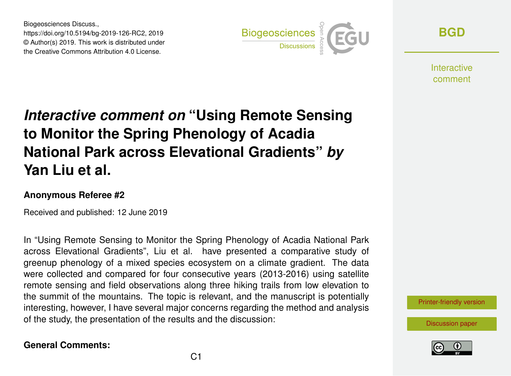Biogeosciences Discuss., https://doi.org/10.5194/bg-2019-126-RC2, 2019 © Author(s) 2019. This work is distributed under the Creative Commons Attribution 4.0 License.



**[BGD](https://www.biogeosciences-discuss.net/)**

**Interactive** comment

# *Interactive comment on* **"Using Remote Sensing to Monitor the Spring Phenology of Acadia National Park across Elevational Gradients"** *by* **Yan Liu et al.**

#### **Anonymous Referee #2**

Received and published: 12 June 2019

In "Using Remote Sensing to Monitor the Spring Phenology of Acadia National Park across Elevational Gradients", Liu et al. have presented a comparative study of greenup phenology of a mixed species ecosystem on a climate gradient. The data were collected and compared for four consecutive years (2013-2016) using satellite remote sensing and field observations along three hiking trails from low elevation to the summit of the mountains. The topic is relevant, and the manuscript is potentially interesting, however, I have several major concerns regarding the method and analysis of the study, the presentation of the results and the discussion:

#### **General Comments:**

[Printer-friendly version](https://www.biogeosciences-discuss.net/bg-2019-126/bg-2019-126-RC2-print.pdf)

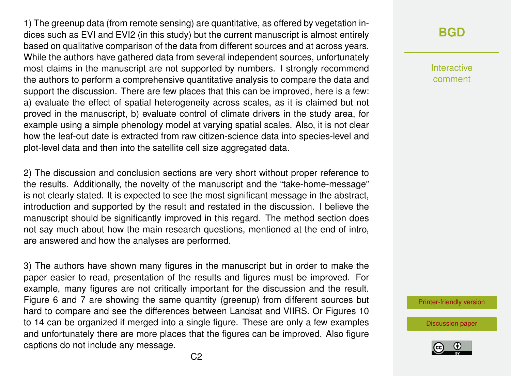1) The greenup data (from remote sensing) are quantitative, as offered by vegetation indices such as EVI and EVI2 (in this study) but the current manuscript is almost entirely based on qualitative comparison of the data from different sources and at across years. While the authors have gathered data from several independent sources, unfortunately most claims in the manuscript are not supported by numbers. I strongly recommend the authors to perform a comprehensive quantitative analysis to compare the data and support the discussion. There are few places that this can be improved, here is a few: a) evaluate the effect of spatial heterogeneity across scales, as it is claimed but not proved in the manuscript, b) evaluate control of climate drivers in the study area, for example using a simple phenology model at varying spatial scales. Also, it is not clear how the leaf-out date is extracted from raw citizen-science data into species-level and plot-level data and then into the satellite cell size aggregated data.

2) The discussion and conclusion sections are very short without proper reference to the results. Additionally, the novelty of the manuscript and the "take-home-message" is not clearly stated. It is expected to see the most significant message in the abstract, introduction and supported by the result and restated in the discussion. I believe the manuscript should be significantly improved in this regard. The method section does not say much about how the main research questions, mentioned at the end of intro, are answered and how the analyses are performed.

3) The authors have shown many figures in the manuscript but in order to make the paper easier to read, presentation of the results and figures must be improved. For example, many figures are not critically important for the discussion and the result. Figure 6 and 7 are showing the same quantity (greenup) from different sources but hard to compare and see the differences between Landsat and VIIRS. Or Figures 10 to 14 can be organized if merged into a single figure. These are only a few examples and unfortunately there are more places that the figures can be improved. Also figure captions do not include any message.

## **[BGD](https://www.biogeosciences-discuss.net/)**

Interactive comment

[Printer-friendly version](https://www.biogeosciences-discuss.net/bg-2019-126/bg-2019-126-RC2-print.pdf)

[Discussion paper](https://www.biogeosciences-discuss.net/bg-2019-126)

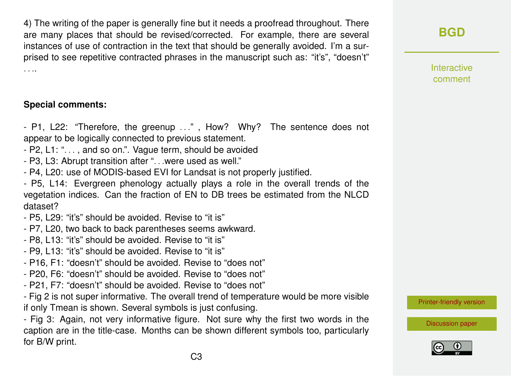4) The writing of the paper is generally fine but it needs a proofread throughout. There are many places that should be revised/corrected. For example, there are several instances of use of contraction in the text that should be generally avoided. I'm a surprised to see repetitive contracted phrases in the manuscript such as: "it's", "doesn't" . . ..

### **Special comments:**

- P1, L22: "Therefore, the greenup ..." , How? Why? The sentence does not appear to be logically connected to previous statement.

- P2, L1: ". . . , and so on.". Vague term, should be avoided
- P3, L3: Abrupt transition after ". . .were used as well."
- P4, L20: use of MODIS-based EVI for Landsat is not properly justified.
- P5, L14: Evergreen phenology actually plays a role in the overall trends of the vegetation indices. Can the fraction of EN to DB trees be estimated from the NLCD dataset?
- P5, L29: "it's" should be avoided. Revise to "it is"
- P7, L20, two back to back parentheses seems awkward.
- P8, L13: "it's" should be avoided. Revise to "it is"
- P9, L13: "it's" should be avoided. Revise to "it is"
- P16, F1: "doesn't" should be avoided. Revise to "does not"
- P20, F6: "doesn't" should be avoided. Revise to "does not"
- P21, F7: "doesn't" should be avoided. Revise to "does not"
- Fig 2 is not super informative. The overall trend of temperature would be more visible if only Tmean is shown. Several symbols is just confusing.

- Fig 3: Again, not very informative figure. Not sure why the first two words in the caption are in the title-case. Months can be shown different symbols too, particularly for B/W print.

**[BGD](https://www.biogeosciences-discuss.net/)**

Interactive comment

[Printer-friendly version](https://www.biogeosciences-discuss.net/bg-2019-126/bg-2019-126-RC2-print.pdf)

[Discussion paper](https://www.biogeosciences-discuss.net/bg-2019-126)